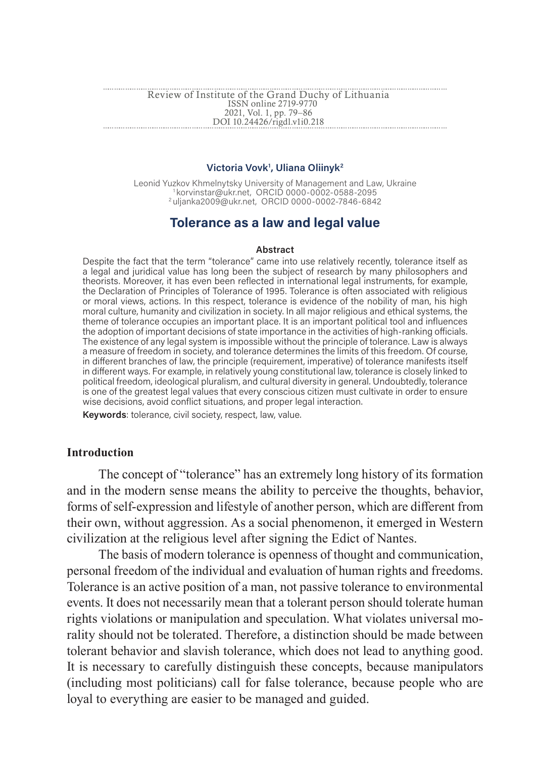#### Review of Institute of the Grand Duchy of Lithuania 2021, Vol. 1, pp. 79–86 ISSN online 2719-9770 DOI 10.24426/rigdl.v1i0.218

#### **Victoria Vovk1 , Uliana Oliinyk2**

Leonid Yuzkov Khmelnytsky University of Management and Law, Ukraine<br>1 korvinstar@ukr.net, ORCID 0000-0002-0588-2095<br>2 uljanka2009@ukr.net, ORCID 0000-0002-7846-6842

# **Tolerance as a law and legal value**

#### **Abstract**

Despite the fact that the term "tolerance" came into use relatively recently, tolerance itself as a legal and juridical value has long been the subject of research by many philosophers and theorists. Moreover, it has even been reflected in international legal instruments, for example, the Declaration of Principles of Tolerance of 1995. Tolerance is often associated with religious or moral views, actions. In this respect, tolerance is evidence of the nobility of man, his high moral culture, humanity and civilization in society. In all major religious and ethical systems, the theme of tolerance occupies an important place. It is an important political tool and influences the adoption of important decisions of state importance in the activities of high-ranking officials. The existence of any legal system is impossible without the principle of tolerance. Law is always a measure of freedom in society, and tolerance determines the limits of this freedom. Of course, in different branches of law, the principle (requirement, imperative) of tolerance manifests itself in different ways. For example, in relatively young constitutional law, tolerance is closely linked to political freedom, ideological pluralism, and cultural diversity in general. Undoubtedly, tolerance is one of the greatest legal values that every conscious citizen must cultivate in order to ensure wise decisions, avoid conflict situations, and proper legal interaction.

**Keywords**: tolerance, civil society, respect, law, value.

### **Introduction**

The concept of "tolerance" has an extremely long history of its formation and in the modern sense means the ability to perceive the thoughts, behavior, forms of self-expression and lifestyle of another person, which are different from their own, without aggression. As a social phenomenon, it emerged in Western civilization at the religious level after signing the Edict of Nantes.

The basis of modern tolerance is openness of thought and communication, personal freedom of the individual and evaluation of human rights and freedoms. Tolerance is an active position of a man, not passive tolerance to environmental events. It does not necessarily mean that a tolerant person should tolerate human rights violations or manipulation and speculation. What violates universal morality should not be tolerated. Therefore, a distinction should be made between tolerant behavior and slavish tolerance, which does not lead to anything good. It is necessary to carefully distinguish these concepts, because manipulators (including most politicians) call for false tolerance, because people who are loyal to everything are easier to be managed and guided.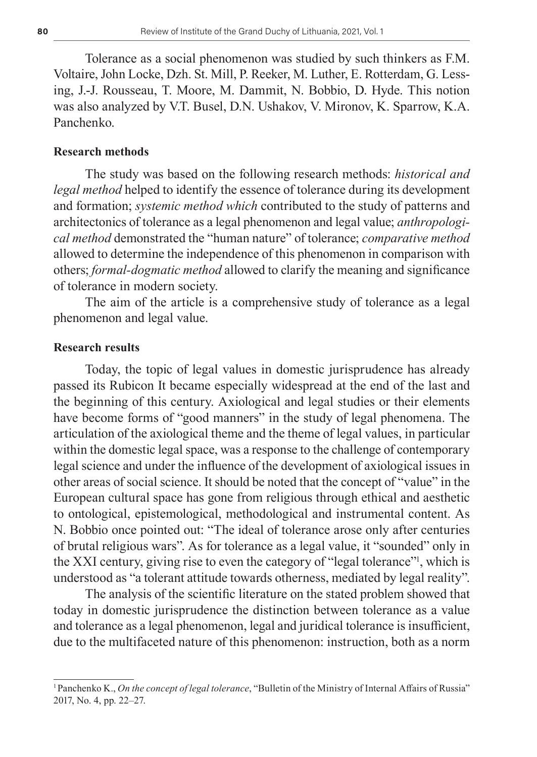Tolerance as a social phenomenon was studied by such thinkers as F.M. Voltaire, John Locke, Dzh. St. Mill, P. Reeker, M. Luther, E. Rotterdam, G. Lessing, J.-J. Rousseau, T. Moore, M. Dammit, N. Bobbio, D. Hyde. This notion was also analyzed by V.T. Busel, D.N. Ushakov, V. Mironov, K. Sparrow, K.A. Panchenko.

### **Research methods**

The study was based on the following research methods: *historical and legal method* helped to identify the essence of tolerance during its development and formation; *systemic method which* contributed to the study of patterns and architectonics of tolerance as a legal phenomenon and legal value; *anthropological method* demonstrated the "human nature" of tolerance; *comparative method* allowed to determine the independence of this phenomenon in comparison with others; *formal-dogmatic method* allowed to clarify the meaning and significance of tolerance in modern society.

The aim of the article is a comprehensive study of tolerance as a legal phenomenon and legal value.

## **Research results**

Today, the topic of legal values in domestic jurisprudence has already passed its Rubicon It became especially widespread at the end of the last and the beginning of this century. Axiological and legal studies or their elements have become forms of "good manners" in the study of legal phenomena. The articulation of the axiological theme and the theme of legal values, in particular within the domestic legal space, was a response to the challenge of contemporary legal science and under the influence of the development of axiological issues in other areas of social science. It should be noted that the concept of "value" in the European cultural space has gone from religious through ethical and aesthetic to ontological, epistemological, methodological and instrumental content. As N. Bobbio once pointed out: "The ideal of tolerance arose only after centuries of brutal religious wars". As for tolerance as a legal value, it "sounded" only in the XXI century, giving rise to even the category of "legal tolerance"1 , which is understood as "a tolerant attitude towards otherness, mediated by legal reality".

The analysis of the scientific literature on the stated problem showed that today in domestic jurisprudence the distinction between tolerance as a value and tolerance as a legal phenomenon, legal and juridical tolerance is insufficient, due to the multifaceted nature of this phenomenon: instruction, both as a norm

<sup>1</sup>Panchenko K., *On the concept of legal tolerance*, "Bulletin of the Ministry of Internal Affairs of Russia" 2017, No. 4, pр. 22–27.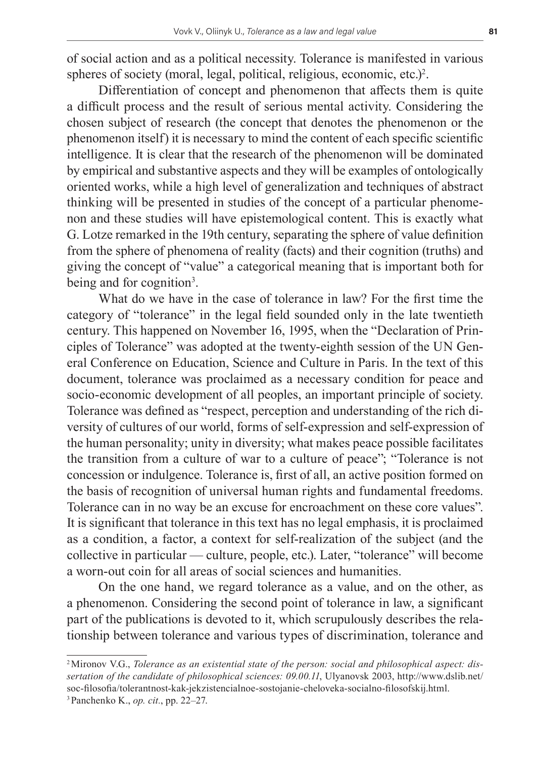of social action and as a political necessity. Tolerance is manifested in various spheres of society (moral, legal, political, religious, economic, etc.)<sup>2</sup>.

Differentiation of concept and phenomenon that affects them is quite a difficult process and the result of serious mental activity. Considering the chosen subject of research (the concept that denotes the phenomenon or the phenomenon itself) it is necessary to mind the content of each specific scientific intelligence. It is clear that the research of the phenomenon will be dominated by empirical and substantive aspects and they will be examples of ontologically oriented works, while a high level of generalization and techniques of abstract thinking will be presented in studies of the concept of a particular phenomenon and these studies will have epistemological content. This is exactly what G. Lotze remarked in the 19th century, separating the sphere of value definition from the sphere of phenomena of reality (facts) and their cognition (truths) and giving the concept of "value" a categorical meaning that is important both for being and for cognition<sup>3</sup>.

What do we have in the case of tolerance in law? For the first time the category of "tolerance" in the legal field sounded only in the late twentieth century. This happened on November 16, 1995, when the "Declaration of Principles of Tolerance" was adopted at the twenty-eighth session of the UN General Conference on Education, Science and Culture in Paris. In the text of this document, tolerance was proclaimed as a necessary condition for peace and socio-economic development of all peoples, an important principle of society. Tolerance was defined as "respect, perception and understanding of the rich diversity of cultures of our world, forms of self-expression and self-expression of the human personality; unity in diversity; what makes peace possible facilitates the transition from a culture of war to a culture of peace"; "Tolerance is not concession or indulgence. Tolerance is, first of all, an active position formed on the basis of recognition of universal human rights and fundamental freedoms. Tolerance can in no way be an excuse for encroachment on these core values". It is significant that tolerance in this text has no legal emphasis, it is proclaimed as a condition, a factor, a context for self-realization of the subject (and the collective in particular — culture, people, etc.). Later, "tolerance" will become a worn-out coin for all areas of social sciences and humanities.

On the one hand, we regard tolerance as a value, and on the other, as a phenomenon. Considering the second point of tolerance in law, a significant part of the publications is devoted to it, which scrupulously describes the relationship between tolerance and various types of discrimination, tolerance and

<sup>2</sup>Mironov V.G., *Tolerance as an existential state of the person: social and philosophical aspect: dissertation of the candidate of philosophical sciences: 09.00.11*, Ulyanovsk 2003, http://www.dslib.net/ soc-filosofia/tolerantnost-kak-jekzistencialnoe-sostojanie-cheloveka-socialno-filosofskij.html. 3Panchenko K., *op. cit.*, рp. 22–27.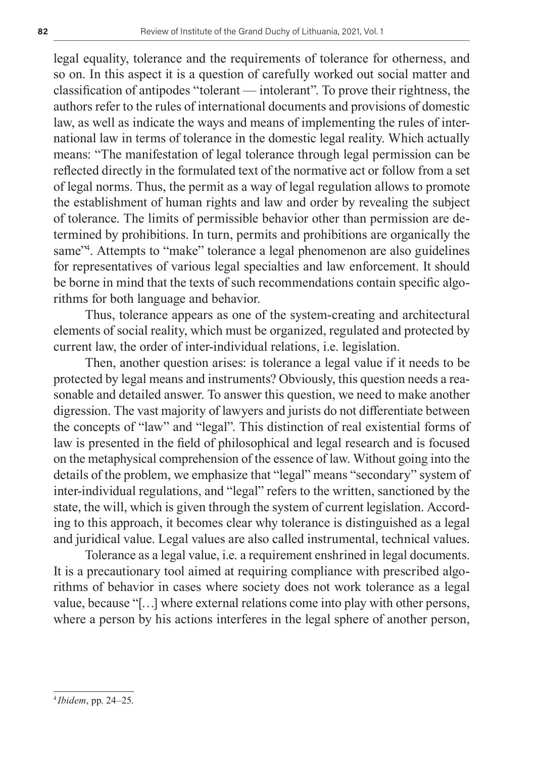legal equality, tolerance and the requirements of tolerance for otherness, and so on. In this aspect it is a question of carefully worked out social matter and classification of antipodes "tolerant — intolerant". To prove their rightness, the authors refer to the rules of international documents and provisions of domestic law, as well as indicate the ways and means of implementing the rules of international law in terms of tolerance in the domestic legal reality. Which actually means: "The manifestation of legal tolerance through legal permission can be reflected directly in the formulated text of the normative act or follow from a set of legal norms. Thus, the permit as a way of legal regulation allows to promote the establishment of human rights and law and order by revealing the subject of tolerance. The limits of permissible behavior other than permission are determined by prohibitions. In turn, permits and prohibitions are organically the same<sup>24</sup>. Attempts to "make" tolerance a legal phenomenon are also guidelines for representatives of various legal specialties and law enforcement. It should be borne in mind that the texts of such recommendations contain specific algorithms for both language and behavior.

Thus, tolerance appears as one of the system-creating and architectural elements of social reality, which must be organized, regulated and protected by current law, the order of inter-individual relations, i.e. legislation.

Then, another question arises: is tolerance a legal value if it needs to be protected by legal means and instruments? Obviously, this question needs a reasonable and detailed answer. To answer this question, we need to make another digression. The vast majority of lawyers and jurists do not differentiate between the concepts of "law" and "legal". This distinction of real existential forms of law is presented in the field of philosophical and legal research and is focused on the metaphysical comprehension of the essence of law. Without going into the details of the problem, we emphasize that "legal" means "secondary" system of inter-individual regulations, and "legal" refers to the written, sanctioned by the state, the will, which is given through the system of current legislation. According to this approach, it becomes clear why tolerance is distinguished as a legal and juridical value. Legal values are also called instrumental, technical values.

Tolerance as a legal value, i.e. a requirement enshrined in legal documents. It is a precautionary tool aimed at requiring compliance with prescribed algorithms of behavior in cases where society does not work tolerance as a legal value, because "[…] where external relations come into play with other persons, where a person by his actions interferes in the legal sphere of another person,

<sup>4</sup> *Ibidem*, рр. 24–25.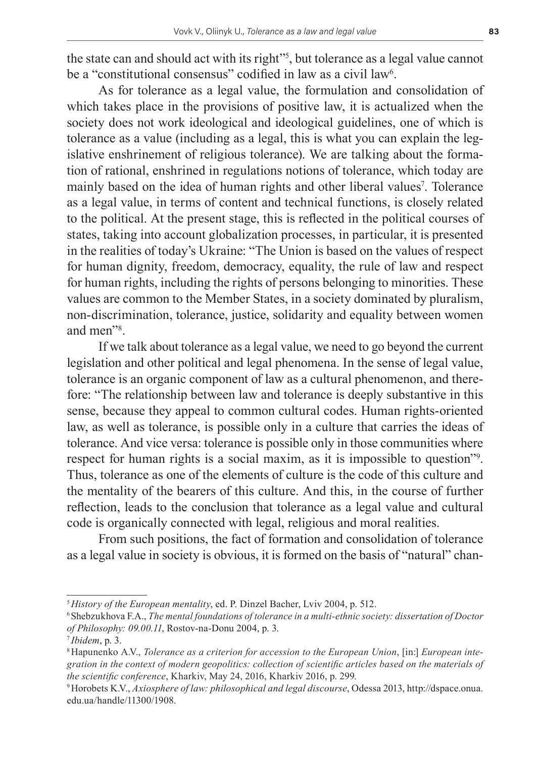the state can and should act with its right"5 , but tolerance as a legal value cannot be a "constitutional consensus" codified in law as a civil law<sup>6</sup>.

As for tolerance as a legal value, the formulation and consolidation of which takes place in the provisions of positive law, it is actualized when the society does not work ideological and ideological guidelines, one of which is tolerance as a value (including as a legal, this is what you can explain the legislative enshrinement of religious tolerance). We are talking about the formation of rational, enshrined in regulations notions of tolerance, which today are mainly based on the idea of human rights and other liberal values<sup>7</sup>. Tolerance as a legal value, in terms of content and technical functions, is closely related to the political. At the present stage, this is reflected in the political courses of states, taking into account globalization processes, in particular, it is presented in the realities of today's Ukraine: "The Union is based on the values of respect for human dignity, freedom, democracy, equality, the rule of law and respect for human rights, including the rights of persons belonging to minorities. These values are common to the Member States, in a society dominated by pluralism, non-discrimination, tolerance, justice, solidarity and equality between women and men"8 .

If we talk about tolerance as a legal value, we need to go beyond the current legislation and other political and legal phenomena. In the sense of legal value, tolerance is an organic component of law as a cultural phenomenon, and therefore: "The relationship between law and tolerance is deeply substantive in this sense, because they appeal to common cultural codes. Human rights-oriented law, as well as tolerance, is possible only in a culture that carries the ideas of tolerance. And vice versa: tolerance is possible only in those communities where respect for human rights is a social maxim, as it is impossible to question"<sup>9</sup> . Thus, tolerance as one of the elements of culture is the code of this culture and the mentality of the bearers of this culture. And this, in the course of further reflection, leads to the conclusion that tolerance as a legal value and cultural code is organically connected with legal, religious and moral realities.

From such positions, the fact of formation and consolidation of tolerance as a legal value in society is obvious, it is formed on the basis of "natural" chan-

<sup>5</sup>*History of the European mentality*, ed. P. Dinzel Bacher, Lviv 2004, p. 512.

<sup>6</sup>Shebzukhova F.A., *The mental foundations of tolerance in a multi-ethnic society: dissertation of Doctor of Philosophy: 09.00.11*, Rostov-na-Donu 2004, р. 3.

<sup>7</sup> *Ibidem*, р. 3.

<sup>8</sup>Hapunenko A.V., *Tolerance as a criterion for accession to the European Union*, [in:] *European integration in the context of modern geopolitics: collection of scientific articles based on the materials of the scientific conference*, Kharkiv, May 24, 2016, Kharkiv 2016, p. 299.

<sup>9</sup>Horobets K.V., *Axiosphere of law: philosophical and legal discourse*, Odessa 2013, http://dspace.onua. edu.ua/handle/11300/1908.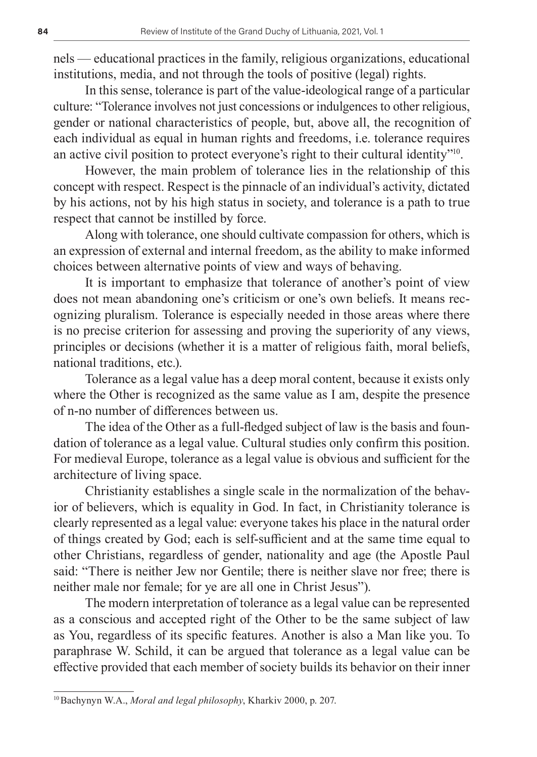nels — educational practices in the family, religious organizations, educational institutions, media, and not through the tools of positive (legal) rights.

In this sense, tolerance is part of the value-ideological range of a particular culture: "Tolerance involves not just concessions or indulgences to other religious, gender or national characteristics of people, but, above all, the recognition of each individual as equal in human rights and freedoms, i.e. tolerance requires an active civil position to protect everyone's right to their cultural identity"10.

However, the main problem of tolerance lies in the relationship of this concept with respect. Respect is the pinnacle of an individual's activity, dictated by his actions, not by his high status in society, and tolerance is a path to true respect that cannot be instilled by force.

Along with tolerance, one should cultivate compassion for others, which is an expression of external and internal freedom, as the ability to make informed choices between alternative points of view and ways of behaving.

It is important to emphasize that tolerance of another's point of view does not mean abandoning one's criticism or one's own beliefs. It means recognizing pluralism. Tolerance is especially needed in those areas where there is no precise criterion for assessing and proving the superiority of any views, principles or decisions (whether it is a matter of religious faith, moral beliefs, national traditions, etc.).

Tolerance as a legal value has a deep moral content, because it exists only where the Other is recognized as the same value as I am, despite the presence of n-no number of differences between us.

The idea of the Other as a full-fledged subject of law is the basis and foundation of tolerance as a legal value. Cultural studies only confirm this position. For medieval Europe, tolerance as a legal value is obvious and sufficient for the architecture of living space.

Christianity establishes a single scale in the normalization of the behavior of believers, which is equality in God. In fact, in Christianity tolerance is clearly represented as a legal value: everyone takes his place in the natural order of things created by God; each is self-sufficient and at the same time equal to other Christians, regardless of gender, nationality and age (the Apostle Paul said: "There is neither Jew nor Gentile; there is neither slave nor free; there is neither male nor female; for ye are all one in Christ Jesus").

The modern interpretation of tolerance as a legal value can be represented as a conscious and accepted right of the Other to be the same subject of law as You, regardless of its specific features. Another is also a Man like you. To paraphrase W. Schild, it can be argued that tolerance as a legal value can be effective provided that each member of society builds its behavior on their inner

<sup>10</sup>Bachynyn W.A., *Moral and legal philosophy*, Kharkiv 2000, р. 207.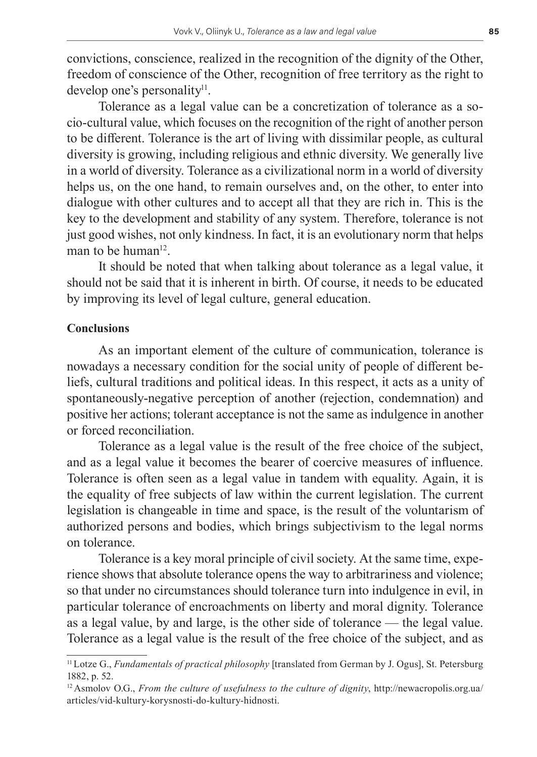convictions, conscience, realized in the recognition of the dignity of the Other, freedom of conscience of the Other, recognition of free territory as the right to develop one's personality $l^1$ .

Tolerance as a legal value can be a concretization of tolerance as a socio-cultural value, which focuses on the recognition of the right of another person to be different. Tolerance is the art of living with dissimilar people, as cultural diversity is growing, including religious and ethnic diversity. We generally live in a world of diversity. Tolerance as a civilizational norm in a world of diversity helps us, on the one hand, to remain ourselves and, on the other, to enter into dialogue with other cultures and to accept all that they are rich in. This is the key to the development and stability of any system. Therefore, tolerance is not just good wishes, not only kindness. In fact, it is an evolutionary norm that helps man to be human $12$ .

It should be noted that when talking about tolerance as a legal value, it should not be said that it is inherent in birth. Of course, it needs to be educated by improving its level of legal culture, general education.

# **Conclusions**

As an important element of the culture of communication, tolerance is nowadays a necessary condition for the social unity of people of different beliefs, cultural traditions and political ideas. In this respect, it acts as a unity of spontaneously-negative perception of another (rejection, condemnation) and positive her actions; tolerant acceptance is not the same as indulgence in another or forced reconciliation.

Tolerance as a legal value is the result of the free choice of the subject, and as a legal value it becomes the bearer of coercive measures of influence. Tolerance is often seen as a legal value in tandem with equality. Again, it is the equality of free subjects of law within the current legislation. The current legislation is changeable in time and space, is the result of the voluntarism of authorized persons and bodies, which brings subjectivism to the legal norms on tolerance.

Tolerance is a key moral principle of civil society. At the same time, experience shows that absolute tolerance opens the way to arbitrariness and violence; so that under no circumstances should tolerance turn into indulgence in evil, in particular tolerance of encroachments on liberty and moral dignity. Tolerance as a legal value, by and large, is the other side of tolerance — the legal value. Tolerance as a legal value is the result of the free choice of the subject, and as

<sup>11</sup>Lotze G., *Fundamentals of practical philosophy* [translated from German by J. Ogus], St. Petersburg 1882, p. 52.

<sup>12</sup>Asmolov O.G., *From the culture of usefulness to the culture of dignity*, http://newacropolis.org.ua/ articles/vid-kultury-korysnosti-do-kultury-hidnosti.